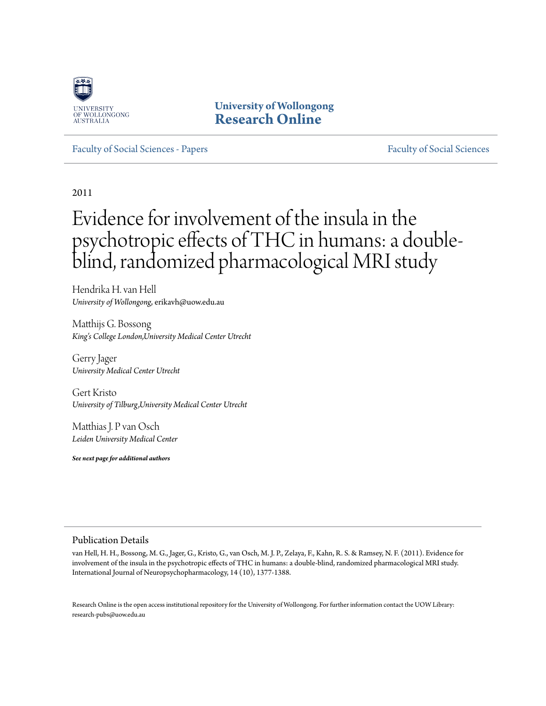

**University of Wollongong [Research Online](http://ro.uow.edu.au)**

[Faculty of Social Sciences - Papers](http://ro.uow.edu.au/sspapers) [Faculty of Social Sciences](http://ro.uow.edu.au/ss) - Papers Faculty of Social Sciences

2011

# Evidence for involvement of the insula in the psychotropic effects of THC in humans: a doubleblind, randomized pharmacological MRI study

Hendrika H. van Hell *University of Wollongong*, erikavh@uow.edu.au

Matthijs G. Bossong *King's College London,University Medical Center Utrecht*

Gerry Jager *University Medical Center Utrecht*

Gert Kristo *University of Tilburg,University Medical Center Utrecht*

Matthias J. P van Osch *Leiden University Medical Center*

*See next page for additional authors*

## Publication Details

van Hell, H. H., Bossong, M. G., Jager, G., Kristo, G., van Osch, M. J. P., Zelaya, F., Kahn, R. S. & Ramsey, N. F. (2011). Evidence for involvement of the insula in the psychotropic effects of THC in humans: a double-blind, randomized pharmacological MRI study. International Journal of Neuropsychopharmacology, 14 (10), 1377-1388.

Research Online is the open access institutional repository for the University of Wollongong. For further information contact the UOW Library: research-pubs@uow.edu.au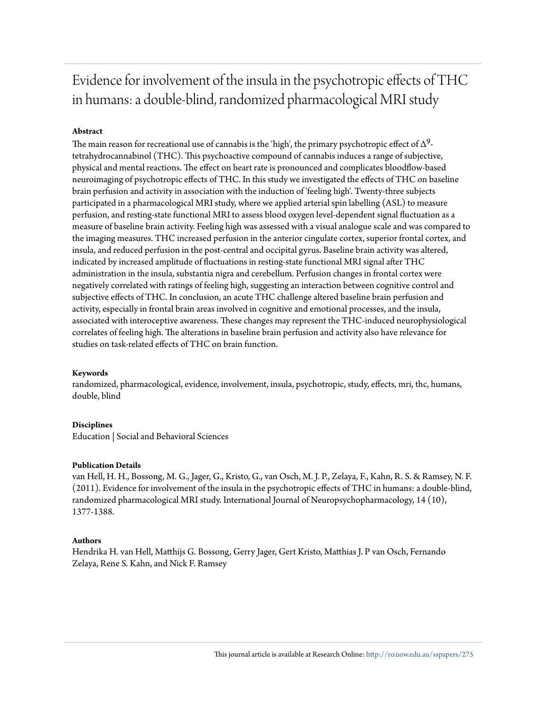## Evidence for involvement of the insula in the psychotropic effects of THC in humans: a double-blind, randomized pharmacological MRI study

## **Abstract**

The main reason for recreational use of cannabis is the 'high', the primary psychotropic effect of  $\Delta^9$ tetrahydrocannabinol (THC). This psychoactive compound of cannabis induces a range of subjective, physical and mental reactions. The effect on heart rate is pronounced and complicates bloodflow-based neuroimaging of psychotropic effects of THC. In this study we investigated the effects of THC on baseline brain perfusion and activity in association with the induction of 'feeling high'. Twenty-three subjects participated in a pharmacological MRI study, where we applied arterial spin labelling (ASL) to measure perfusion, and resting-state functional MRI to assess blood oxygen level-dependent signal fluctuation as a measure of baseline brain activity. Feeling high was assessed with a visual analogue scale and was compared to the imaging measures. THC increased perfusion in the anterior cingulate cortex, superior frontal cortex, and insula, and reduced perfusion in the post-central and occipital gyrus. Baseline brain activity was altered, indicated by increased amplitude of fluctuations in resting-state functional MRI signal after THC administration in the insula, substantia nigra and cerebellum. Perfusion changes in frontal cortex were negatively correlated with ratings of feeling high, suggesting an interaction between cognitive control and subjective effects of THC. In conclusion, an acute THC challenge altered baseline brain perfusion and activity, especially in frontal brain areas involved in cognitive and emotional processes, and the insula, associated with interoceptive awareness. These changes may represent the THC-induced neurophysiological correlates of feeling high. The alterations in baseline brain perfusion and activity also have relevance for studies on task-related effects of THC on brain function.

## **Keywords**

randomized, pharmacological, evidence, involvement, insula, psychotropic, study, effects, mri, thc, humans, double, blind

## **Disciplines**

Education | Social and Behavioral Sciences

## **Publication Details**

van Hell, H. H., Bossong, M. G., Jager, G., Kristo, G., van Osch, M. J. P., Zelaya, F., Kahn, R. S. & Ramsey, N. F. (2011). Evidence for involvement of the insula in the psychotropic effects of THC in humans: a double-blind, randomized pharmacological MRI study. International Journal of Neuropsychopharmacology, 14 (10), 1377-1388.

## **Authors**

Hendrika H. van Hell, Matthijs G. Bossong, Gerry Jager, Gert Kristo, Matthias J. P van Osch, Fernando Zelaya, Rene S. Kahn, and Nick F. Ramsey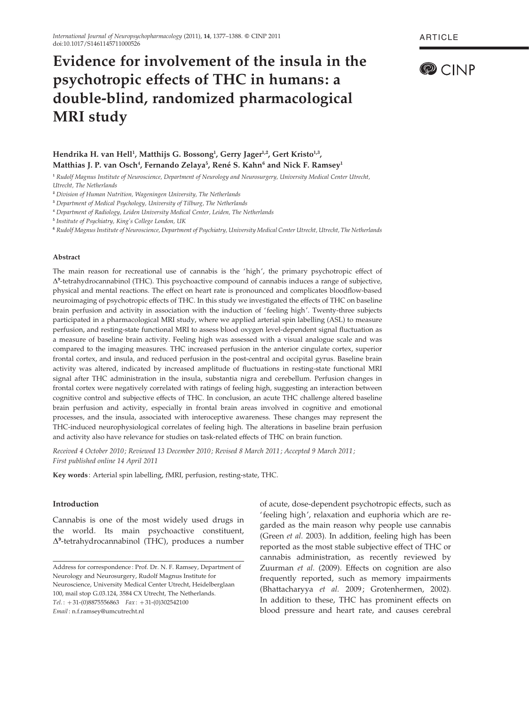## Evidence for involvement of the insula in the psychotropic effects of THC in humans: a double-blind, randomized pharmacological MRI study



ARTICLE

## Hendrika H. van Hell<sup>1</sup>, Matthijs G. Bossong<sup>1</sup>, Gerry Jager<sup>1,2</sup>, Gert Kristo<sup>1,3</sup>, Matthias J. P. van Osch $^4$ , Fernando Zelaya $^5$ , René S. Kahn $^6$  and Nick F. Ramsey $^1$

<sup>1</sup> Rudolf Magnus Institute of Neuroscience, Department of Neurology and Neurosurgery, University Medical Center Utrecht, Utrecht, The Netherlands

<sup>2</sup> Division of Human Nutrition, Wageningen University, The Netherlands

<sup>3</sup> Department of Medical Psychology, University of Tilburg, The Netherlands

<sup>4</sup> Department of Radiology, Leiden University Medical Center, Leiden, The Netherlands

<sup>5</sup> Institute of Psychiatry, King's College London, UK

<sup>6</sup> Rudolf Magnus Institute of Neuroscience, Department of Psychiatry, University Medical Center Utrecht, Utrecht, The Netherlands

#### Abstract

The main reason for recreational use of cannabis is the 'high', the primary psychotropic effect of  $\Delta^9$ -tetrahydrocannabinol (THC). This psychoactive compound of cannabis induces a range of subjective, physical and mental reactions. The effect on heart rate is pronounced and complicates bloodflow-based neuroimaging of psychotropic effects of THC. In this study we investigated the effects of THC on baseline brain perfusion and activity in association with the induction of ' feeling high'. Twenty-three subjects participated in a pharmacological MRI study, where we applied arterial spin labelling (ASL) to measure perfusion, and resting-state functional MRI to assess blood oxygen level-dependent signal fluctuation as a measure of baseline brain activity. Feeling high was assessed with a visual analogue scale and was compared to the imaging measures. THC increased perfusion in the anterior cingulate cortex, superior frontal cortex, and insula, and reduced perfusion in the post-central and occipital gyrus. Baseline brain activity was altered, indicated by increased amplitude of fluctuations in resting-state functional MRI signal after THC administration in the insula, substantia nigra and cerebellum. Perfusion changes in frontal cortex were negatively correlated with ratings of feeling high, suggesting an interaction between cognitive control and subjective effects of THC. In conclusion, an acute THC challenge altered baseline brain perfusion and activity, especially in frontal brain areas involved in cognitive and emotional processes, and the insula, associated with interoceptive awareness. These changes may represent the THC-induced neurophysiological correlates of feeling high. The alterations in baseline brain perfusion and activity also have relevance for studies on task-related effects of THC on brain function.

Received 4 October 2010; Reviewed 13 December 2010; Revised 8 March 2011; Accepted 9 March 2011; First published online 14 April 2011

Key words : Arterial spin labelling, fMRI, perfusion, resting-state, THC.

#### Introduction

Cannabis is one of the most widely used drugs in the world. Its main psychoactive constituent,  $\Delta^9$ -tetrahydrocannabinol (THC), produces a number

of acute, dose-dependent psychotropic effects, such as ' feeling high', relaxation and euphoria which are regarded as the main reason why people use cannabis (Green et al. 2003). In addition, feeling high has been reported as the most stable subjective effect of THC or cannabis administration, as recently reviewed by Zuurman et al. (2009). Effects on cognition are also frequently reported, such as memory impairments (Bhattacharyya et al. 2009; Grotenhermen, 2002). In addition to these, THC has prominent effects on blood pressure and heart rate, and causes cerebral

Address for correspondence : Prof. Dr. N. F. Ramsey, Department of Neurology and Neurosurgery, Rudolf Magnus Institute for Neuroscience, University Medical Center Utrecht, Heidelberglaan 100, mail stop G.03.124, 3584 CX Utrecht, The Netherlands.  $Tel.: +31-(0)8875556863$   $Fax: +31-(0)302542100$ Email : n.f.ramsey@umcutrecht.nl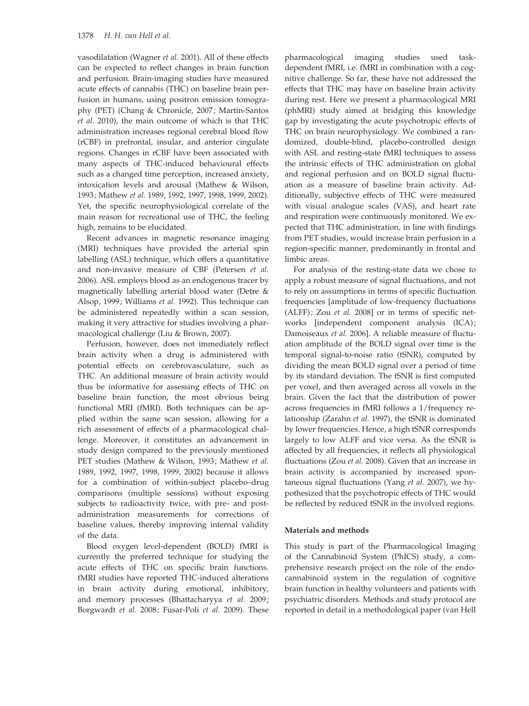vasodilatation (Wagner et al. 2001). All of these effects can be expected to reflect changes in brain function and perfusion. Brain-imaging studies have measured acute effects of cannabis (THC) on baseline brain perfusion in humans, using positron emission tomography (PET) (Chang & Chronicle, 2007; Martin-Santos et al. 2010), the main outcome of which is that THC administration increases regional cerebral blood flow (rCBF) in prefrontal, insular, and anterior cingulate regions. Changes in rCBF have been associated with many aspects of THC-induced behavioural effects such as a changed time perception, increased anxiety, intoxication levels and arousal (Mathew & Wilson, 1993; Mathew et al. 1989, 1992, 1997, 1998, 1999, 2002). Yet, the specific neurophysiological correlate of the main reason for recreational use of THC, the feeling high, remains to be elucidated.

Recent advances in magnetic resonance imaging (MRI) techniques have provided the arterial spin labelling (ASL) technique, which offers a quantitative and non-invasive measure of CBF (Petersen et al. 2006). ASL employs blood as an endogenous tracer by magnetically labelling arterial blood water (Detre & Alsop, 1999; Williams et al. 1992). This technique can be administered repeatedly within a scan session, making it very attractive for studies involving a pharmacological challenge (Liu & Brown, 2007).

Perfusion, however, does not immediately reflect brain activity when a drug is administered with potential effects on cerebrovasculature, such as THC. An additional measure of brain activity would thus be informative for assessing effects of THC on baseline brain function, the most obvious being functional MRI (fMRI). Both techniques can be applied within the same scan session, allowing for a rich assessment of effects of a pharmacological challenge. Moreover, it constitutes an advancement in study design compared to the previously mentioned PET studies (Mathew & Wilson, 1993; Mathew et al. 1989, 1992, 1997, 1998, 1999, 2002) because it allows for a combination of within-subject placebo–drug comparisons (multiple sessions) without exposing subjects to radioactivity twice, with pre- and postadministration measurements for corrections of baseline values, thereby improving internal validity of the data.

Blood oxygen level-dependent (BOLD) fMRI is currently the preferred technique for studying the acute effects of THC on specific brain functions. fMRI studies have reported THC-induced alterations in brain activity during emotional, inhibitory, and memory processes (Bhattacharyya et al. 2009; Borgwardt et al. 2008; Fusar-Poli et al. 2009). These pharmacological imaging studies used taskdependent fMRI, i.e. fMRI in combination with a cognitive challenge. So far, these have not addressed the effects that THC may have on baseline brain activity during rest. Here we present a pharmacological MRI (phMRI) study aimed at bridging this knowledge gap by investigating the acute psychotropic effects of THC on brain neurophysiology. We combined a randomized, double-blind, placebo-controlled design with ASL and resting-state fMRI techniques to assess the intrinsic effects of THC administration on global and regional perfusion and on BOLD signal fluctuation as a measure of baseline brain activity. Additionally, subjective effects of THC were measured with visual analogue scales (VAS), and heart rate and respiration were continuously monitored. We expected that THC administration, in line with findings from PET studies, would increase brain perfusion in a region-specific manner, predominantly in frontal and limbic areas.

For analysis of the resting-state data we chose to apply a robust measure of signal fluctuations, and not to rely on assumptions in terms of specific fluctuation frequencies [amplitude of low-frequency fluctuations (ALFF); Zou et al. 2008] or in terms of specific networks [independent component analysis (ICA); Damoiseaux et al. 2006]. A reliable measure of fluctuation amplitude of the BOLD signal over time is the temporal signal-to-noise ratio (tSNR), computed by dividing the mean BOLD signal over a period of time by its standard deviation. The tSNR is first computed per voxel, and then averaged across all voxels in the brain. Given the fact that the distribution of power across frequencies in fMRI follows a 1/frequency relationship (Zarahn et al. 1997), the tSNR is dominated by lower frequencies. Hence, a high tSNR corresponds largely to low ALFF and vice versa. As the tSNR is affected by all frequencies, it reflects all physiological fluctuations (Zou et al. 2008). Given that an increase in brain activity is accompanied by increased spontaneous signal fluctuations (Yang et al. 2007), we hypothesized that the psychotropic effects of THC would be reflected by reduced tSNR in the involved regions.

#### Materials and methods

This study is part of the Pharmacological Imaging of the Cannabinoid System (PhICS) study, a comprehensive research project on the role of the endocannabinoid system in the regulation of cognitive brain function in healthy volunteers and patients with psychiatric disorders. Methods and study protocol are reported in detail in a methodological paper (van Hell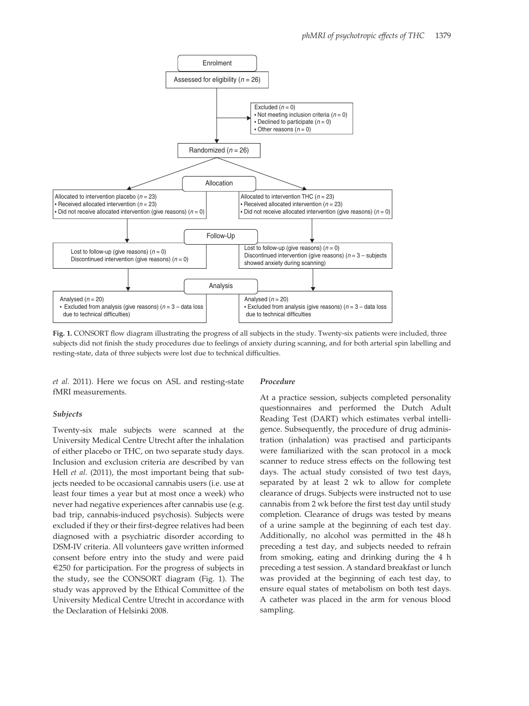

Fig. 1. CONSORT flow diagram illustrating the progress of all subjects in the study. Twenty-six patients were included, three subjects did not finish the study procedures due to feelings of anxiety during scanning, and for both arterial spin labelling and resting-state, data of three subjects were lost due to technical difficulties.

et al. 2011). Here we focus on ASL and resting-state fMRI measurements.

#### Subjects

Twenty-six male subjects were scanned at the University Medical Centre Utrecht after the inhalation of either placebo or THC, on two separate study days. Inclusion and exclusion criteria are described by van Hell *et al.* (2011), the most important being that subjects needed to be occasional cannabis users (i.e. use at least four times a year but at most once a week) who never had negative experiences after cannabis use (e.g. bad trip, cannabis-induced psychosis). Subjects were excluded if they or their first-degree relatives had been diagnosed with a psychiatric disorder according to DSM-IV criteria. All volunteers gave written informed consent before entry into the study and were paid *E*250 for participation. For the progress of subjects in the study, see the CONSORT diagram (Fig. 1). The study was approved by the Ethical Committee of the University Medical Centre Utrecht in accordance with the Declaration of Helsinki 2008.

#### Procedure

At a practice session, subjects completed personality questionnaires and performed the Dutch Adult Reading Test (DART) which estimates verbal intelligence. Subsequently, the procedure of drug administration (inhalation) was practised and participants were familiarized with the scan protocol in a mock scanner to reduce stress effects on the following test days. The actual study consisted of two test days, separated by at least 2 wk to allow for complete clearance of drugs. Subjects were instructed not to use cannabis from 2 wk before the first test day until study completion. Clearance of drugs was tested by means of a urine sample at the beginning of each test day. Additionally, no alcohol was permitted in the 48 h preceding a test day, and subjects needed to refrain from smoking, eating and drinking during the 4 h preceding a test session. A standard breakfast or lunch was provided at the beginning of each test day, to ensure equal states of metabolism on both test days. A catheter was placed in the arm for venous blood sampling.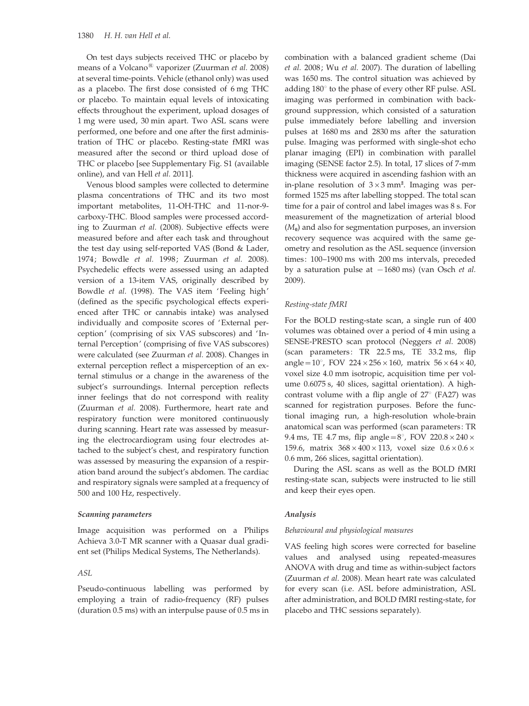On test days subjects received THC or placebo by means of a Volcano<sup>®</sup> vaporizer (Zuurman et al. 2008) at several time-points. Vehicle (ethanol only) was used as a placebo. The first dose consisted of 6 mg THC or placebo. To maintain equal levels of intoxicating effects throughout the experiment, upload dosages of 1 mg were used, 30 min apart. Two ASL scans were performed, one before and one after the first administration of THC or placebo. Resting-state fMRI was measured after the second or third upload dose of THC or placebo [see Supplementary Fig. S1 (available online), and van Hell et al. 2011].

Venous blood samples were collected to determine plasma concentrations of THC and its two most important metabolites, 11-OH-THC and 11-nor-9 carboxy-THC. Blood samples were processed according to Zuurman et al. (2008). Subjective effects were measured before and after each task and throughout the test day using self-reported VAS (Bond & Lader, 1974; Bowdle et al. 1998; Zuurman et al. 2008). Psychedelic effects were assessed using an adapted version of a 13-item VAS, originally described by Bowdle et al. (1998). The VAS item 'Feeling high' (defined as the specific psychological effects experienced after THC or cannabis intake) was analysed individually and composite scores of 'External perception' (comprising of six VAS subscores) and ' Internal Perception' (comprising of five VAS subscores) were calculated (see Zuurman et al. 2008). Changes in external perception reflect a misperception of an external stimulus or a change in the awareness of the subject's surroundings. Internal perception reflects inner feelings that do not correspond with reality (Zuurman et al. 2008). Furthermore, heart rate and respiratory function were monitored continuously during scanning. Heart rate was assessed by measuring the electrocardiogram using four electrodes attached to the subject's chest, and respiratory function was assessed by measuring the expansion of a respiration band around the subject's abdomen. The cardiac and respiratory signals were sampled at a frequency of 500 and 100 Hz, respectively.

#### Scanning parameters

Image acquisition was performed on a Philips Achieva 3.0-T MR scanner with a Quasar dual gradient set (Philips Medical Systems, The Netherlands).

#### ASL

Pseudo-continuous labelling was performed by employing a train of radio-frequency (RF) pulses (duration 0.5 ms) with an interpulse pause of 0.5 ms in combination with a balanced gradient scheme (Dai et al. 2008; Wu et al. 2007). The duration of labelling was 1650 ms. The control situation was achieved by adding 180° to the phase of every other RF pulse. ASL imaging was performed in combination with background suppression, which consisted of a saturation pulse immediately before labelling and inversion pulses at 1680 ms and 2830 ms after the saturation pulse. Imaging was performed with single-shot echo planar imaging (EPI) in combination with parallel imaging (SENSE factor 2.5). In total, 17 slices of 7-mm thickness were acquired in ascending fashion with an in-plane resolution of  $3\times3$  mm<sup>2</sup>. Imaging was performed 1525 ms after labelling stopped. The total scan time for a pair of control and label images was 8 s. For measurement of the magnetization of arterial blood  $(M_0)$  and also for segmentation purposes, an inversion recovery sequence was acquired with the same geometry and resolution as the ASL sequence (inversion times: 100–1900 ms with 200 ms intervals, preceded by a saturation pulse at  $-1680$  ms) (van Osch et al. 2009).

#### Resting-state fMRI

For the BOLD resting-state scan, a single run of 400 volumes was obtained over a period of 4 min using a SENSE-PRESTO scan protocol (Neggers et al. 2008) (scan parameters: TR 22.5 ms, TE 33.2 ms, flip angle =  $10^{\circ}$ , FOV 224 × 256 × 160, matrix 56 × 64 × 40, voxel size 4.0 mm isotropic, acquisition time per volume 0.6075 s, 40 slices, sagittal orientation). A highcontrast volume with a flip angle of  $27^{\circ}$  (FA27) was scanned for registration purposes. Before the functional imaging run, a high-resolution whole-brain anatomical scan was performed (scan parameters: TR 9.4 ms, TE 4.7 ms, flip angle =  $8^\circ$ , FOV 220.8  $\times$  240  $\times$ 159.6, matrix  $368 \times 400 \times 113$ , voxel size  $0.6 \times 0.6 \times$ 0.6 mm, 266 slices, sagittal orientation).

During the ASL scans as well as the BOLD fMRI resting-state scan, subjects were instructed to lie still and keep their eyes open.

#### Analysis

#### Behavioural and physiological measures

VAS feeling high scores were corrected for baseline values and analysed using repeated-measures ANOVA with drug and time as within-subject factors (Zuurman et al. 2008). Mean heart rate was calculated for every scan (i.e. ASL before administration, ASL after administration, and BOLD fMRI resting-state, for placebo and THC sessions separately).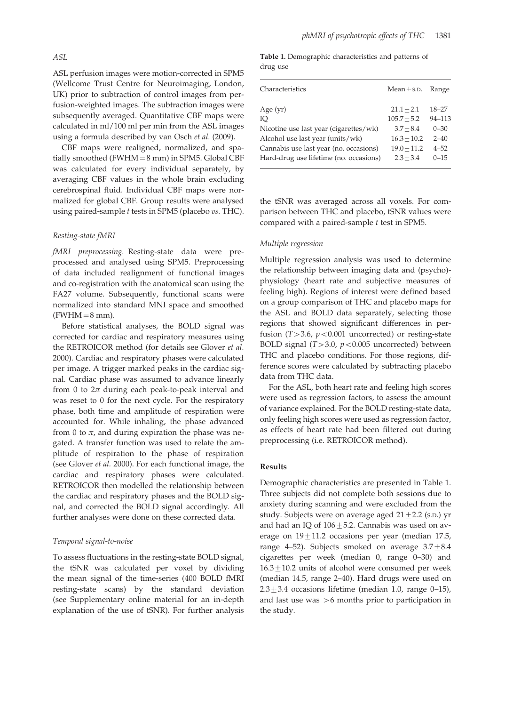ASL perfusion images were motion-corrected in SPM5 (Wellcome Trust Centre for Neuroimaging, London, UK) prior to subtraction of control images from perfusion-weighted images. The subtraction images were subsequently averaged. Quantitative CBF maps were calculated in ml/100 ml per min from the ASL images using a formula described by van Osch et al. (2009).

CBF maps were realigned, normalized, and spatially smoothed (FWHM=8 mm) in SPM5. Global CBF was calculated for every individual separately, by averaging CBF values in the whole brain excluding cerebrospinal fluid. Individual CBF maps were normalized for global CBF. Group results were analysed using paired-sample t tests in SPM5 (placebo vs. THC).

#### Resting-state fMRI

fMRI preprocessing. Resting-state data were preprocessed and analysed using SPM5. Preprocessing of data included realignment of functional images and co-registration with the anatomical scan using the FA27 volume. Subsequently, functional scans were normalized into standard MNI space and smoothed  $(FWHM=8$  mm).

Before statistical analyses, the BOLD signal was corrected for cardiac and respiratory measures using the RETROICOR method (for details see Glover et al. 2000). Cardiac and respiratory phases were calculated per image. A trigger marked peaks in the cardiac signal. Cardiac phase was assumed to advance linearly from 0 to  $2\pi$  during each peak-to-peak interval and was reset to 0 for the next cycle. For the respiratory phase, both time and amplitude of respiration were accounted for. While inhaling, the phase advanced from 0 to  $\pi$ , and during expiration the phase was negated. A transfer function was used to relate the amplitude of respiration to the phase of respiration (see Glover et al. 2000). For each functional image, the cardiac and respiratory phases were calculated. RETROICOR then modelled the relationship between the cardiac and respiratory phases and the BOLD signal, and corrected the BOLD signal accordingly. All further analyses were done on these corrected data.

#### Temporal signal-to-noise

To assess fluctuations in the resting-state BOLD signal, the tSNR was calculated per voxel by dividing the mean signal of the time-series (400 BOLD fMRI resting-state scans) by the standard deviation (see Supplementary online material for an in-depth explanation of the use of tSNR). For further analysis

Table 1. Demographic characteristics and patterns of drug use

| Characteristics                        | Mean $\pm$ s.p. | Range      |
|----------------------------------------|-----------------|------------|
| Age (yr)                               | $21.1 + 2.1$    | $18 - 27$  |
| Ю                                      | $105.7 + 5.2$   | $94 - 113$ |
| Nicotine use last year (cigarettes/wk) | $3.7 + 8.4$     | $0 - 30$   |
| Alcohol use last year (units/wk)       | $16.3 + 10.2$   | $2 - 40$   |
| Cannabis use last year (no. occasions) | $19.0 + 11.2$   | $4 - 52$   |
| Hard-drug use lifetime (no. occasions) | $2.3 + 3.4$     | $0 - 15$   |
|                                        |                 |            |

the tSNR was averaged across all voxels. For comparison between THC and placebo, tSNR values were compared with a paired-sample t test in SPM5.

#### Multiple regression

Multiple regression analysis was used to determine the relationship between imaging data and (psycho) physiology (heart rate and subjective measures of feeling high). Regions of interest were defined based on a group comparison of THC and placebo maps for the ASL and BOLD data separately, selecting those regions that showed significant differences in perfusion ( $T > 3.6$ ,  $p < 0.001$  uncorrected) or resting-state BOLD signal  $(T>3.0, p<0.005$  uncorrected) between THC and placebo conditions. For those regions, difference scores were calculated by subtracting placebo data from THC data.

For the ASL, both heart rate and feeling high scores were used as regression factors, to assess the amount of variance explained. For the BOLD resting-state data, only feeling high scores were used as regression factor, as effects of heart rate had been filtered out during preprocessing (i.e. RETROICOR method).

### Results

Demographic characteristics are presented in Table 1. Three subjects did not complete both sessions due to anxiety during scanning and were excluded from the study. Subjects were on average aged  $21 \pm 2.2$  (s.p.) yr and had an IQ of  $106 + 5.2$ . Cannabis was used on average on  $19 \pm 11.2$  occasions per year (median 17.5, range 4–52). Subjects smoked on average  $3.7 \pm 8.4$ cigarettes per week (median 0, range 0–30) and  $16.3 \pm 10.2$  units of alcohol were consumed per week (median 14.5, range 2–40). Hard drugs were used on  $2.3 \pm 3.4$  occasions lifetime (median 1.0, range 0–15), and last use was >6 months prior to participation in the study.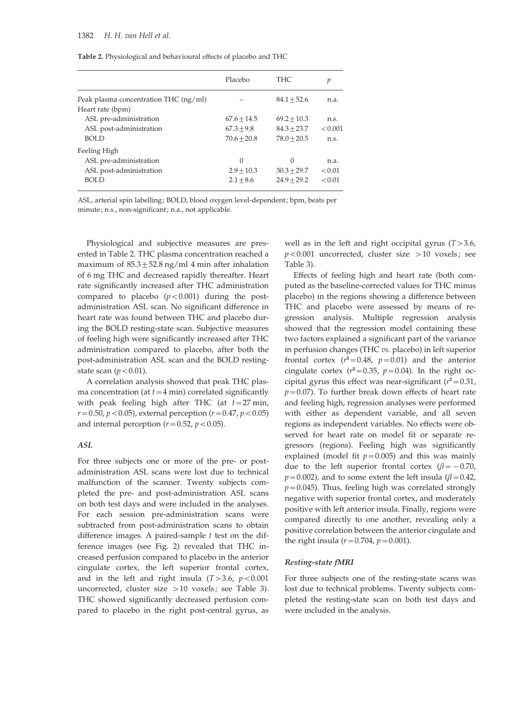|  | Table 2. Physiological and behavioural effects of placebo and THC |  |  |  |
|--|-------------------------------------------------------------------|--|--|--|
|--|-------------------------------------------------------------------|--|--|--|

|                                         | Placebo       | THC.          | p       |
|-----------------------------------------|---------------|---------------|---------|
| Peak plasma concentration THC $(ng/ml)$ |               | $84.1 + 52.6$ | n.a.    |
| Heart rate (bpm)                        |               |               |         |
| ASL pre-administration                  | $67.6 + 14.5$ | $69.2 + 10.3$ | n.s.    |
| ASL post-administration                 | $67.3 + 9.8$  | $84.3 + 23.7$ | < 0.001 |
| <b>BOLD</b>                             | $70.6 + 20.8$ | $78.0 + 20.5$ | n.s.    |
| Feeling High                            |               |               |         |
| ASL pre-administration                  | $\Omega$      | $\Omega$      | n.a.    |
| ASL post-administration                 | $2.9 + 10.3$  | $30.3 + 29.7$ | < 0.01  |
| <b>BOLD</b>                             | $2.1 + 8.6$   | $24.9 + 29.2$ | < 0.01  |

ASL, arterial spin labelling; BOLD, blood oxygen level-dependent; bpm, beats per minute; n.s., non-significant; n.a., not applicable.

Physiological and subjective measures are presented in Table 2. THC plasma concentration reached a maximum of  $85.3 \pm 52.8$  ng/ml 4 min after inhalation of 6 mg THC and decreased rapidly thereafter. Heart rate significantly increased after THC administration compared to placebo  $(p<0.001)$  during the postadministration ASL scan. No significant difference in heart rate was found between THC and placebo during the BOLD resting-state scan. Subjective measures of feeling high were significantly increased after THC administration compared to placebo, after both the post-administration ASL scan and the BOLD restingstate scan ( $p < 0.01$ ).

A correlation analysis showed that peak THC plasma concentration (at  $t=4$  min) correlated significantly with peak feeling high after THC (at  $t=27$  min,  $r=0.50$ ,  $p<0.05$ ), external perception ( $r=0.47$ ,  $p<0.05$ ) and internal perception ( $r=0.52$ ,  $p < 0.05$ ).

#### ASL

For three subjects one or more of the pre- or postadministration ASL scans were lost due to technical malfunction of the scanner. Twenty subjects completed the pre- and post-administration ASL scans on both test days and were included in the analyses. For each session pre-administration scans were subtracted from post-administration scans to obtain difference images. A paired-sample  $t$  test on the difference images (see Fig. 2) revealed that THC increased perfusion compared to placebo in the anterior cingulate cortex, the left superior frontal cortex, and in the left and right insula  $(T>3.6, p<0.001$ uncorrected, cluster size >10 voxels; see Table 3). THC showed significantly decreased perfusion compared to placebo in the right post-central gyrus, as

well as in the left and right occipital gyrus  $(T>3.6)$ ,  $p < 0.001$  uncorrected, cluster size  $> 10$  voxels; see Table 3).

Effects of feeling high and heart rate (both computed as the baseline-corrected values for THC minus placebo) in the regions showing a difference between THC and placebo were assessed by means of regression analysis. Multiple regression analysis showed that the regression model containing these two factors explained a significant part of the variance in perfusion changes (THC vs. placebo) in left superior frontal cortex ( $r^2 = 0.48$ ,  $p = 0.01$ ) and the anterior cingulate cortex ( $r^2$ =0.35,  $p$ =0.04). In the right occipital gyrus this effect was near-significant  $(r^2 = 0.31,$  $p=0.07$ ). To further break down effects of heart rate and feeling high, regression analyses were performed with either as dependent variable, and all seven regions as independent variables. No effects were observed for heart rate on model fit or separate regressors (regions). Feeling high was significantly explained (model fit  $p=0.005$ ) and this was mainly due to the left superior frontal cortex ( $\beta$  = -0.70,  $p=0.002$ ), and to some extent the left insula ( $\beta=0.42$ ,  $p=0.045$ ). Thus, feeling high was correlated strongly negative with superior frontal cortex, and moderately positive with left anterior insula. Finally, regions were compared directly to one another, revealing only a positive correlation between the anterior cingulate and the right insula  $(r=0.704, p=0.001)$ .

#### Resting-state fMRI

For three subjects one of the resting-state scans was lost due to technical problems. Twenty subjects completed the resting-state scan on both test days and were included in the analysis.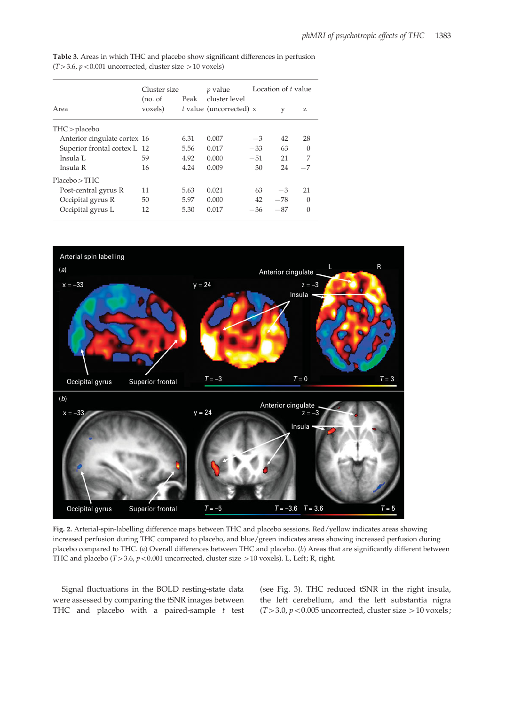Table 3. Areas in which THC and placebo show significant differences in perfusion  $(T>3.6, p<0.001$  uncorrected, cluster size  $>10$  voxels)

|                              | Cluster size<br>Peak |      | <i>p</i> value<br>cluster level | Location of t value |       |          |
|------------------------------|----------------------|------|---------------------------------|---------------------|-------|----------|
| Area                         | (no. of)<br>voxels)  |      | t value (uncorrected) x         |                     | V     | Z        |
| THC > placebo                |                      |      |                                 |                     |       |          |
| Anterior cingulate cortex 16 |                      | 6.31 | 0.007                           | $-3$                | 42    | 28       |
| Superior frontal cortex L 12 |                      | 5.56 | 0.017                           | $-33$               | 63    | $\Omega$ |
| Insula L                     | 59                   | 4.92 | 0.000                           | $-51$               | 21    | 7        |
| Insula R                     | 16                   | 4.24 | 0.009                           | 30                  | 24    | $-7$     |
| Placebo > THC                |                      |      |                                 |                     |       |          |
| Post-central gyrus R         | 11                   | 5.63 | 0.021                           | 63                  | $-3$  | 21       |
| Occipital gyrus R            | 50                   | 5.97 | 0.000                           | 42                  | $-78$ | $\Omega$ |
| Occipital gyrus L            | 12                   | 5.30 | 0.017                           | $-36$               | $-87$ | $\Omega$ |



Fig. 2. Arterial-spin-labelling difference maps between THC and placebo sessions. Red/yellow indicates areas showing increased perfusion during THC compared to placebo, and blue/green indicates areas showing increased perfusion during placebo compared to THC. (a) Overall differences between THC and placebo. (b) Areas that are significantly different between THC and placebo (T > 3.6,  $p$  < 0.001 uncorrected, cluster size > 10 voxels). L, Left; R, right.

Signal fluctuations in the BOLD resting-state data were assessed by comparing the tSNR images between THC and placebo with a paired-sample  $t$  test (see Fig. 3). THC reduced tSNR in the right insula, the left cerebellum, and the left substantia nigra  $(T>3.0, p<0.005$  uncorrected, cluster size  $>10$  voxels;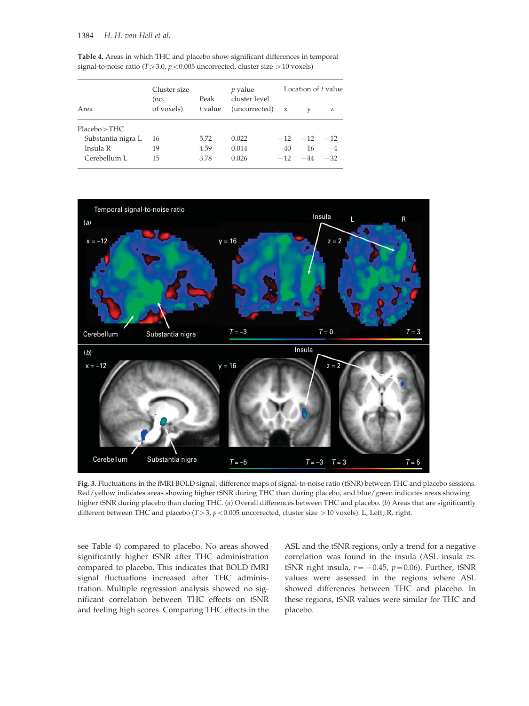Table 4. Areas in which THC and placebo show significant differences in temporal signal-to-noise ratio ( $T > 3.0$ ,  $p < 0.005$  uncorrected, cluster size  $> 10$  voxels)

|                    | Cluster size<br>(no. | Peak    | <i>p</i> value<br>cluster level |                     |                 | Location of t value |
|--------------------|----------------------|---------|---------------------------------|---------------------|-----------------|---------------------|
| Area               | of voxels)           | t value | (uncorrected)                   | $\boldsymbol{\chi}$ |                 | Z                   |
| Placebo > THC      |                      |         |                                 |                     |                 |                     |
| Substantia nigra L | 16                   | 5.72    | 0.022                           |                     | $-12 - 12 - 12$ |                     |
| Insula R           | 19                   | 4.59    | 0.014                           | 40                  | 16              | $-4$                |
| Cerebellum L       | 15                   | 3.78    | 0.026                           | $-12$               | $-44$           | $-32$               |



Fig. 3. Fluctuations in the fMRI BOLD signal; difference maps of signal-to-noise ratio (tSNR) between THC and placebo sessions. Red/yellow indicates areas showing higher tSNR during THC than during placebo, and blue/green indicates areas showing higher tSNR during placebo than during THC. (a) Overall differences between THC and placebo. (b) Areas that are significantly different between THC and placebo  $(T>3, p<0.005$  uncorrected, cluster size  $>10$  voxels). L, Left; R, right.

see Table 4) compared to placebo. No areas showed significantly higher tSNR after THC administration compared to placebo. This indicates that BOLD fMRI signal fluctuations increased after THC administration. Multiple regression analysis showed no significant correlation between THC effects on tSNR and feeling high scores. Comparing THC effects in the

ASL and the tSNR regions, only a trend for a negative correlation was found in the insula (ASL insula vs. tSNR right insula,  $r = -0.45$ ,  $p = 0.06$ ). Further, tSNR values were assessed in the regions where ASL showed differences between THC and placebo. In these regions, tSNR values were similar for THC and placebo.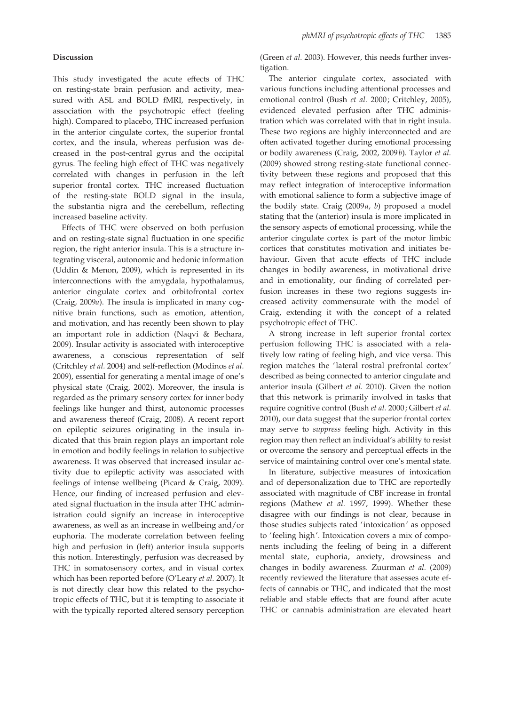#### Discussion

This study investigated the acute effects of THC on resting-state brain perfusion and activity, measured with ASL and BOLD fMRI, respectively, in association with the psychotropic effect (feeling high). Compared to placebo, THC increased perfusion in the anterior cingulate cortex, the superior frontal cortex, and the insula, whereas perfusion was decreased in the post-central gyrus and the occipital gyrus. The feeling high effect of THC was negatively correlated with changes in perfusion in the left superior frontal cortex. THC increased fluctuation of the resting-state BOLD signal in the insula, the substantia nigra and the cerebellum, reflecting increased baseline activity.

Effects of THC were observed on both perfusion and on resting-state signal fluctuation in one specific region, the right anterior insula. This is a structure integrating visceral, autonomic and hedonic information (Uddin & Menon, 2009), which is represented in its interconnections with the amygdala, hypothalamus, anterior cingulate cortex and orbitofrontal cortex (Craig, 2009a). The insula is implicated in many cognitive brain functions, such as emotion, attention, and motivation, and has recently been shown to play an important role in addiction (Naqvi & Bechara, 2009). Insular activity is associated with interoceptive awareness, a conscious representation of self (Critchley et al. 2004) and self-reflection (Modinos et al. 2009), essential for generating a mental image of one's physical state (Craig, 2002). Moreover, the insula is regarded as the primary sensory cortex for inner body feelings like hunger and thirst, autonomic processes and awareness thereof (Craig, 2008). A recent report on epileptic seizures originating in the insula indicated that this brain region plays an important role in emotion and bodily feelings in relation to subjective awareness. It was observed that increased insular activity due to epileptic activity was associated with feelings of intense wellbeing (Picard & Craig, 2009). Hence, our finding of increased perfusion and elevated signal fluctuation in the insula after THC administration could signify an increase in interoceptive awareness, as well as an increase in wellbeing and/or euphoria. The moderate correlation between feeling high and perfusion in (left) anterior insula supports this notion. Interestingly, perfusion was decreased by THC in somatosensory cortex, and in visual cortex which has been reported before (O'Leary et al. 2007). It is not directly clear how this related to the psychotropic effects of THC, but it is tempting to associate it with the typically reported altered sensory perception (Green et al. 2003). However, this needs further investigation.

The anterior cingulate cortex, associated with various functions including attentional processes and emotional control (Bush et al. 2000; Critchley, 2005), evidenced elevated perfusion after THC administration which was correlated with that in right insula. These two regions are highly interconnected and are often activated together during emotional processing or bodily awareness (Craig, 2002, 2009b). Taylor et al. (2009) showed strong resting-state functional connectivity between these regions and proposed that this may reflect integration of interoceptive information with emotional salience to form a subjective image of the bodily state. Craig  $(2009a, b)$  proposed a model stating that the (anterior) insula is more implicated in the sensory aspects of emotional processing, while the anterior cingulate cortex is part of the motor limbic cortices that constitutes motivation and initiates behaviour. Given that acute effects of THC include changes in bodily awareness, in motivational drive and in emotionality, our finding of correlated perfusion increases in these two regions suggests increased activity commensurate with the model of Craig, extending it with the concept of a related psychotropic effect of THC.

A strong increase in left superior frontal cortex perfusion following THC is associated with a relatively low rating of feeling high, and vice versa. This region matches the 'lateral rostral prefrontal cortex' described as being connected to anterior cingulate and anterior insula (Gilbert et al. 2010). Given the notion that this network is primarily involved in tasks that require cognitive control (Bush et al. 2000; Gilbert et al. 2010), our data suggest that the superior frontal cortex may serve to suppress feeling high. Activity in this region may then reflect an individual's abililty to resist or overcome the sensory and perceptual effects in the service of maintaining control over one's mental state.

In literature, subjective measures of intoxication and of depersonalization due to THC are reportedly associated with magnitude of CBF increase in frontal regions (Mathew et al. 1997, 1999). Whether these disagree with our findings is not clear, because in those studies subjects rated 'intoxication' as opposed to 'feeling high'. Intoxication covers a mix of components including the feeling of being in a different mental state, euphoria, anxiety, drowsiness and changes in bodily awareness. Zuurman et al. (2009) recently reviewed the literature that assesses acute effects of cannabis or THC, and indicated that the most reliable and stable effects that are found after acute THC or cannabis administration are elevated heart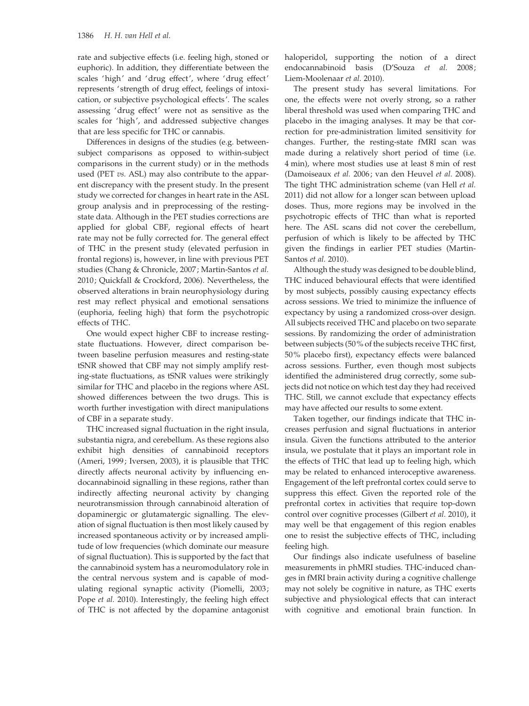rate and subjective effects (i.e. feeling high, stoned or euphoric). In addition, they differentiate between the scales 'high' and 'drug effect', where 'drug effect' represents 'strength of drug effect, feelings of intoxication, or subjective psychological effects'. The scales assessing 'drug effect' were not as sensitive as the scales for 'high', and addressed subjective changes that are less specific for THC or cannabis.

Differences in designs of the studies (e.g. betweensubject comparisons as opposed to within-subject comparisons in the current study) or in the methods used (PET vs. ASL) may also contribute to the apparent discrepancy with the present study. In the present study we corrected for changes in heart rate in the ASL group analysis and in preprocessing of the restingstate data. Although in the PET studies corrections are applied for global CBF, regional effects of heart rate may not be fully corrected for. The general effect of THC in the present study (elevated perfusion in frontal regions) is, however, in line with previous PET studies (Chang & Chronicle, 2007; Martin-Santos et al. 2010; Quickfall & Crockford, 2006). Nevertheless, the observed alterations in brain neurophysiology during rest may reflect physical and emotional sensations (euphoria, feeling high) that form the psychotropic effects of THC.

One would expect higher CBF to increase restingstate fluctuations. However, direct comparison between baseline perfusion measures and resting-state tSNR showed that CBF may not simply amplify resting-state fluctuations, as tSNR values were strikingly similar for THC and placebo in the regions where ASL showed differences between the two drugs. This is worth further investigation with direct manipulations of CBF in a separate study.

THC increased signal fluctuation in the right insula, substantia nigra, and cerebellum. As these regions also exhibit high densities of cannabinoid receptors (Ameri, 1999; Iversen, 2003), it is plausible that THC directly affects neuronal activity by influencing endocannabinoid signalling in these regions, rather than indirectly affecting neuronal activity by changing neurotransmission through cannabinoid alteration of dopaminergic or glutamatergic signalling. The elevation of signal fluctuation is then most likely caused by increased spontaneous activity or by increased amplitude of low frequencies (which dominate our measure of signal fluctuation). This is supported by the fact that the cannabinoid system has a neuromodulatory role in the central nervous system and is capable of modulating regional synaptic activity (Piomelli, 2003; Pope et al. 2010). Interestingly, the feeling high effect of THC is not affected by the dopamine antagonist

haloperidol, supporting the notion of a direct endocannabinoid basis (D'Souza et al. 2008; Liem-Moolenaar et al. 2010).

The present study has several limitations. For one, the effects were not overly strong, so a rather liberal threshold was used when comparing THC and placebo in the imaging analyses. It may be that correction for pre-administration limited sensitivity for changes. Further, the resting-state fMRI scan was made during a relatively short period of time (i.e. 4 min), where most studies use at least 8 min of rest (Damoiseaux et al. 2006; van den Heuvel et al. 2008). The tight THC administration scheme (van Hell et al. 2011) did not allow for a longer scan between upload doses. Thus, more regions may be involved in the psychotropic effects of THC than what is reported here. The ASL scans did not cover the cerebellum, perfusion of which is likely to be affected by THC given the findings in earlier PET studies (Martin-Santos et al. 2010).

Although the study was designed to be double blind, THC induced behavioural effects that were identified by most subjects, possibly causing expectancy effects across sessions. We tried to minimize the influence of expectancy by using a randomized cross-over design. All subjects received THC and placebo on two separate sessions. By randomizing the order of administration between subjects (50% of the subjects receive THC first, 50% placebo first), expectancy effects were balanced across sessions. Further, even though most subjects identified the administered drug correctly, some subjects did not notice on which test day they had received THC. Still, we cannot exclude that expectancy effects may have affected our results to some extent.

Taken together, our findings indicate that THC increases perfusion and signal fluctuations in anterior insula. Given the functions attributed to the anterior insula, we postulate that it plays an important role in the effects of THC that lead up to feeling high, which may be related to enhanced interoceptive awareness. Engagement of the left prefrontal cortex could serve to suppress this effect. Given the reported role of the prefrontal cortex in activities that require top-down control over cognitive processes (Gilbert et al. 2010), it may well be that engagement of this region enables one to resist the subjective effects of THC, including feeling high.

Our findings also indicate usefulness of baseline measurements in phMRI studies. THC-induced changes in fMRI brain activity during a cognitive challenge may not solely be cognitive in nature, as THC exerts subjective and physiological effects that can interact with cognitive and emotional brain function. In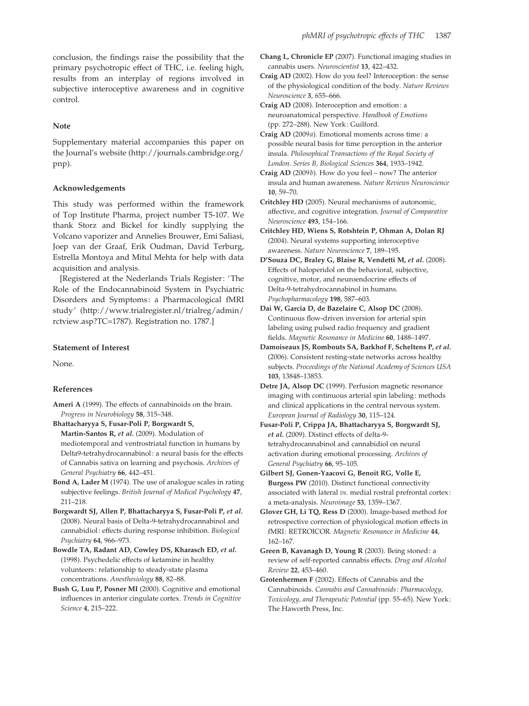conclusion, the findings raise the possibility that the primary psychotropic effect of THC, i.e. feeling high, results from an interplay of regions involved in subjective interoceptive awareness and in cognitive control.

#### Note

Supplementary material accompanies this paper on the Journal's website (http://journals.cambridge.org/ pnp).

#### Acknowledgements

This study was performed within the framework of Top Institute Pharma, project number T5-107. We thank Storz and Bickel for kindly supplying the Volcano vaporizer and Annelies Brouwer, Emi Saliasi, Joep van der Graaf, Erik Oudman, David Terburg, Estrella Montoya and Mitul Mehta for help with data acquisition and analysis.

[Registered at the Nederlands Trials Register: 'The Role of the Endocannabinoid System in Psychiatric Disorders and Symptoms: a Pharmacological fMRI study' (http://www.trialregister.nl/trialreg/admin/ rctview.asp?TC=1787). Registration no. 1787.]

#### Statement of Interest

None.

#### References

Ameri A (1999). The effects of cannabinoids on the brain. Progress in Neurobiology 58, 315–348.

- Bhattacharyya S, Fusar-Poli P, Borgwardt S, Martin-Santos R, et al. (2009). Modulation of mediotemporal and ventrostriatal function in humans by Delta9-tetrahydrocannabinol: a neural basis for the effects of Cannabis sativa on learning and psychosis. Archives of General Psychiatry 66, 442–451.
- Bond A, Lader M (1974). The use of analogue scales in rating subjective feelings. British Journal of Medical Psychology 47, 211–218.
- Borgwardt SJ, Allen P, Bhattacharyya S, Fusar-Poli P, et al. (2008). Neural basis of Delta-9-tetrahydrocannabinol and cannabidiol: effects during response inhibition. Biological Psychiatry 64, 966–973.
- Bowdle TA, Radant AD, Cowley DS, Kharasch ED, et al. (1998). Psychedelic effects of ketamine in healthy volunteers: relationship to steady-state plasma concentrations. Anesthesiology 88, 82–88.
- Bush G, Luu P, Posner MI (2000). Cognitive and emotional influences in anterior cingulate cortex. Trends in Cognitive Science 4, 215–222.
- Chang L, Chronicle EP (2007). Functional imaging studies in cannabis users. Neuroscientist 13, 422–432.
- Craig AD (2002). How do you feel? Interoception : the sense of the physiological condition of the body. Nature Reviews Neuroscience 3, 655–666.
- Craig AD (2008). Interoception and emotion: a neuroanatomical perspective. Handbook of Emotions (pp. 272–288). New York: Guilford.
- Craig AD (2009a). Emotional moments across time: a possible neural basis for time perception in the anterior insula. Philosophical Transactions of the Royal Society of London. Series B, Biological Sciences 364, 1933–1942.
- Craig AD (2009b). How do you feel now? The anterior insula and human awareness. Nature Reviews Neuroscience 10, 59–70.
- Critchley HD (2005). Neural mechanisms of autonomic, affective, and cognitive integration. Journal of Comparative Neuroscience 493, 154–166.
- Critchley HD, Wiens S, Rotshtein P, Ohman A, Dolan RJ (2004). Neural systems supporting interoceptive awareness. Nature Neuroscience 7, 189–195.
- D'Souza DC, Braley G, Blaise R, Vendetti M, et al. (2008). Effects of haloperidol on the behavioral, subjective, cognitive, motor, and neuroendocrine effects of Delta-9-tetrahydrocannabinol in humans. Psychopharmacology 198, 587–603.
- Dai W, Garcia D, de Bazelaire C, Alsop DC (2008). Continuous flow-driven inversion for arterial spin labeling using pulsed radio frequency and gradient fields. Magnetic Resonance in Medicine 60, 1488–1497.
- Damoiseaux JS, Rombouts SA, Barkhof F, Scheltens P, et al. (2006). Consistent resting-state networks across healthy subjects. Proceedings of the National Academy of Sciences USA 103, 13848–13853.
- Detre JA, Alsop DC (1999). Perfusion magnetic resonance imaging with continuous arterial spin labeling: methods and clinical applications in the central nervous system. European Journal of Radiology 30, 115–124.
- Fusar-Poli P, Crippa JA, Bhattacharyya S, Borgwardt SJ, et al. (2009). Distinct effects of delta-9 tetrahydrocannabinol and cannabidiol on neural activation during emotional processing. Archives of General Psychiatry 66, 95–105.
- Gilbert SJ, Gonen-Yaacovi G, Benoit RG, Volle E, Burgess PW (2010). Distinct functional connectivity associated with lateral vs. medial rostral prefrontal cortex: a meta-analysis. Neuroimage 53, 1359–1367.
- Glover GH, Li TQ, Ress D (2000). Image-based method for retrospective correction of physiological motion effects in fMRI: RETROICOR. Magnetic Resonance in Medicine 44, 162–167.
- Green B, Kavanagh D, Young R (2003). Being stoned: a review of self-reported cannabis effects. Drug and Alcohol Review 22, 453–460.
- Grotenhermen F (2002). Effects of Cannabis and the Cannabinoids. Cannabis and Cannabinoids : Pharmacology, Toxicology, and Therapeutic Potential (pp. 55–65). New York: The Haworth Press, Inc.